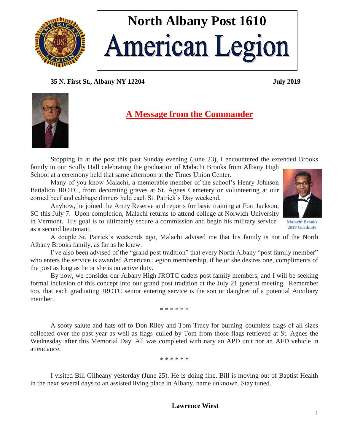

# **North Albany Post 1610 American Legion**

## **35 N. First St., Albany NY 12204 July 2019**



## **A Message from the Commander**

Stopping in at the post this past Sunday evening (June 23), I encountered the extended Brooks family in our Scully Hall celebrating the graduation of Malachi Brooks from Albany High

School at a ceremony held that same afternoon at the Times Union Center.

Many of you know Malachi, a memorable member of the school's Henry Johnson Battalion JROTC, from decorating graves at St. Agnes Cemetery or volunteering at our corned beef and cabbage dinners held each St. Patrick's Day weekend.

Anyhow, he joined the Army Reserve and reports for basic training at Fort Jackson, SC this July 7. Upon completion, Malachi returns to attend college at Norwich University in Vermont. His goal is to ultimately secure a commission and begin his military service as a second lieutenant.



**Malachi Brooks 2019 Graduate** 

A couple St. Patrick's weekends ago, Malachi advised me that his family is not of the North Albany Brooks family, as far as he knew.

I've also been advised of the "grand post tradition" that every North Albany "post family member" who enters the service is awarded American Legion membership, if he or she desires one, compliments of the post as long as he or she is on active duty.

By now, we consider our Albany High JROTC cadets post family members, and I will be seeking formal inclusion of this concept into our grand post tradition at the July 21 general meeting. Remember too, that each graduating JROTC senior entering service is the son or daughter of a potential Auxiliary member.

\* \* \* \* \* \*

A sooty salute and hats off to Don Riley and Tom Tracy for burning countless flags of all sizes collected over the past year as well as flags culled by Tom from those flags retrieved at St. Agnes the Wednesday after this Memorial Day. All was completed with nary an APD unit nor an AFD vehicle in attendance.

\* \* \* \* \* \*

I visited Bill Gilheany yesterday (June 25). He is doing fine. Bill is moving out of Baptist Health in the next several days to an assisted living place in Albany, name unknown. Stay tuned.

#### **Lawrence Wiest**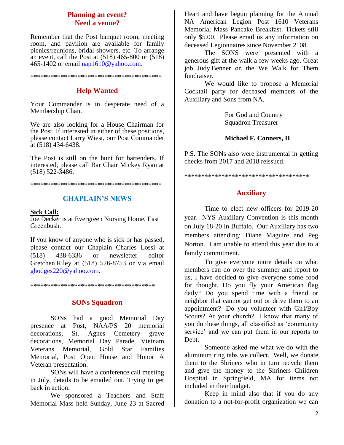## **Planning an event? Need a venue?**

Remember that the Post banquet room, meeting room, and pavilion are available for family picnics/reunions, bridal showers, etc. To arrange an event, call the Post at (518) 465-800 or (518) 465-1402 or email [nap1610@yahoo.com.](mailto:nap1610@yahoo.com)

#### \*\*\*\*\*\*\*\*\*\*\*\*\*\*\*\*\*\*\*\*\*\*\*\*\*\*\*\*\*\*\*\*\*\*\*\*\*\*\*

## **Help Wanted**

Your Commander is in desperate need of a Membership Chair.

We are also looking for a House Chairman for the Post. If interested in either of these positions, please contact Larry Wiest, our Post Commander at (518) 434-6438.

The Post is still on the hunt for bartenders. If interested, please call Bar Chair Mickey Ryan at (518) 522-3486.

\*\*\*\*\*\*\*\*\*\*\*\*\*\*\*\*\*\*\*\*\*\*\*\*\*\*\*\*\*\*\*\*\*\*\*\*\*\*\*

## **CHAPLAIN'S NEWS**

#### **Sick Call:**

Joe Decker is at Evergreen Nursing Home, East Greenbush.

If you know of anyone who is sick or has passed, please contact our Chaplain Charles Lossi at (518) 438-6336 or newsletter editor Gretchen Riley at (518) 526-8753 or via email [ghodges220@yahoo.com.](mailto:ghodges220@yahoo.com)

\*\*\*\*\*\*\*\*\*\*\*\*\*\*\*\*\*\*\*\*\*\*\*\*\*\*\*\*\*\*\*\*\*\*\*\*\*

## **SONs Squadron**

SONs had a good Memorial Day presence at Post, NAA/PS 20 memorial decorations, St. Agnes Cemetery grave decorations, Memorial Day Parade, Vietnam Veterans Memorial, Gold Star Families Memorial, Post Open House and Honor A Veteran presentation.

SONs will have a conference call meeting in July, details to be emailed out. Trying to get back in action.

We sponsored a Teachers and Staff Memorial Mass held Sunday, June 23 at Sacred Heart and have begun planning for the Annual NA American Legion Post 1610 Veterans Memorial Mass Pancake Breakfast. Tickets still only \$5.00. Please email us any information on deceased Legionnaires since November 2108.

The SONS were presented with a generous gift at the walk a few weeks ago. Great job Judy Benner on the We Walk for Them fundraiser.

We would like to propose a Memorial Cocktail party for deceased members of the Auxiliary and Sons from NA.

> For God and Country Squadron Treasurer

#### **Michael F. Conners, II**

P.S. The SONs also were instrumental in getting checks from 2017 and 2018 reissued.

\*\*\*\*\*\*\*\*\*\*\*\*\*\*\*\*\*\*\*\*\*\*\*\*\*\*\*\*\*\*\*\*\*\*\*\*\*

## **Auxiliary**

Time to elect new officers for 2019-20 year. NYS Auxiliary Convention is this month on July 18-20 in Buffalo. Our Auxiliary has two members attending: Diane Maguire and Peg Norton. I am unable to attend this year due to a family commitment.

To give everyone more details on what members can do over the summer and report to us, I have decided to give everyone some food for thought. Do you fly your American flag daily? Do you spend time with a friend or neighbor that cannot get out or drive them to an appointment? Do you volunteer with Girl/Boy Scouts? At your church? I know that many of you do these things, all classified as 'community service' and we can put them in our reports to Dept.

Someone asked me what we do with the aluminum ring tabs we collect. Well, we donate them to the Shriners who in turn recycle them and give the money to the Shriners Children Hospital in Springfield, MA for items not included in their budget.

Keep in mind also that if you do any donation to a not-for-profit organization we can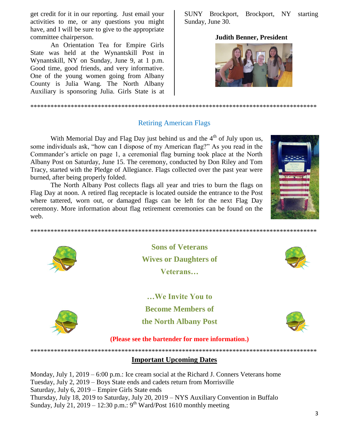get credit for it in our reporting. Just email your activities to me, or any questions you might have, and I will be sure to give to the appropriate committee chairperson.

An Orientation Tea for Empire Girls State was held at the Wynantskill Post in Wynantskill, NY on Sunday, June 9, at 1 p.m. Good time, good friends, and very informative. One of the young women going from Albany County is Julia Wang. The North Albany Auxiliary is sponsoring Julia. Girls State is at SUNY Brockport, Brockport, NY starting Sunday, June 30.

#### **Judith Benner, President**



## **Retiring American Flags**

With Memorial Day and Flag Day just behind us and the  $4<sup>th</sup>$  of July upon us, some individuals ask, "how can I dispose of my American flag?" As you read in the Commander's article on page 1, a ceremonial flag burning took place at the North Albany Post on Saturday, June 15. The ceremony, conducted by Don Riley and Tom Tracy, started with the Pledge of Allegiance. Flags collected over the past year were burned, after being properly folded.

The North Albany Post collects flags all year and tries to burn the flags on Flag Day at noon. A retired flag receptacle is located outside the entrance to the Post where tattered, worn out, or damaged flags can be left for the next Flag Day ceremony. More information about flag retirement ceremonies can be found on the web.







**Sons of Veterans Wives or Daughters of** Veterans...

...We Invite You to **Become Members of** the North Albany Post



(Please see the bartender for more information.)

## **Important Upcoming Dates**

Monday, July 1,  $2019 - 600$  p.m.: Ice cream social at the Richard J. Conners Veterans home Tuesday, July 2, 2019 – Boys State ends and cadets return from Morrisville Saturday, July 6, 2019 – Empire Girls State ends Thursday, July 18, 2019 to Saturday, July 20, 2019 - NYS Auxiliary Convention in Buffalo Sunday, July 21, 2019 – 12:30 p.m.: 9<sup>th</sup> Ward/Post 1610 monthly meeting